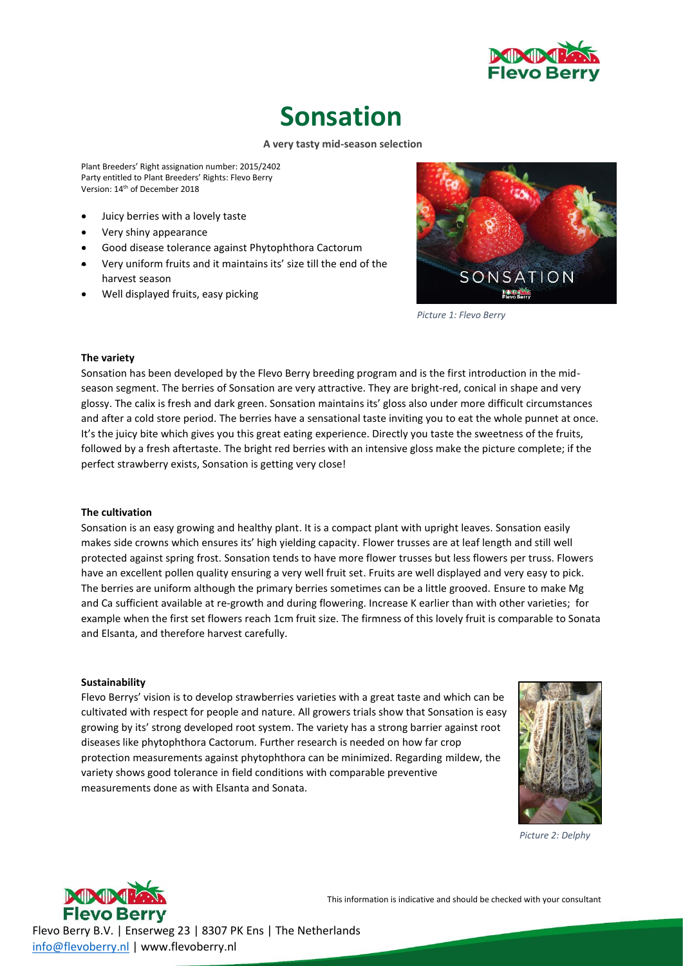

## **Sonsation**

#### **A very tasty mid-season selection**

Plant Breeders' Right assignation number: 2015/2402 Party entitled to Plant Breeders' Rights: Flevo Berry Version: 14<sup>th</sup> of December 2018

- Juicy berries with a lovely taste
- Very shiny appearance
- Good disease tolerance against Phytophthora Cactorum
- Very uniform fruits and it maintains its' size till the end of the harvest season
- Well displayed fruits, easy picking



*Picture 1: Flevo Berry*

#### **The variety**

Sonsation has been developed by the Flevo Berry breeding program and is the first introduction in the midseason segment. The berries of Sonsation are very attractive. They are bright-red, conical in shape and very glossy. The calix is fresh and dark green. Sonsation maintains its' gloss also under more difficult circumstances and after a cold store period. The berries have a sensational taste inviting you to eat the whole punnet at once. It's the juicy bite which gives you this great eating experience. Directly you taste the sweetness of the fruits, followed by a fresh aftertaste. The bright red berries with an intensive gloss make the picture complete; if the perfect strawberry exists, Sonsation is getting very close!

#### **The cultivation**

Sonsation is an easy growing and healthy plant. It is a compact plant with upright leaves. Sonsation easily makes side crowns which ensures its' high yielding capacity. Flower trusses are at leaf length and still well protected against spring frost. Sonsation tends to have more flower trusses but less flowers per truss. Flowers have an excellent pollen quality ensuring a very well fruit set. Fruits are well displayed and very easy to pick. The berries are uniform although the primary berries sometimes can be a little grooved. Ensure to make Mg and Ca sufficient available at re-growth and during flowering. Increase K earlier than with other varieties; for example when the first set flowers reach 1cm fruit size. The firmness of this lovely fruit is comparable to Sonata and Elsanta, and therefore harvest carefully.

#### **Sustainability**

Flevo Berrys' vision is to develop strawberries varieties with a great taste and which can be cultivated with respect for people and nature. All growers trials show that Sonsation is easy growing by its' strong developed root system. The variety has a strong barrier against root diseases like phytophthora Cactorum. Further research is needed on how far crop protection measurements against phytophthora can be minimized. Regarding mildew, the variety shows good tolerance in field conditions with comparable preventive measurements done as with Elsanta and Sonata.



*Picture 2: Delphy*



This information is indicative and should be checked with your consultant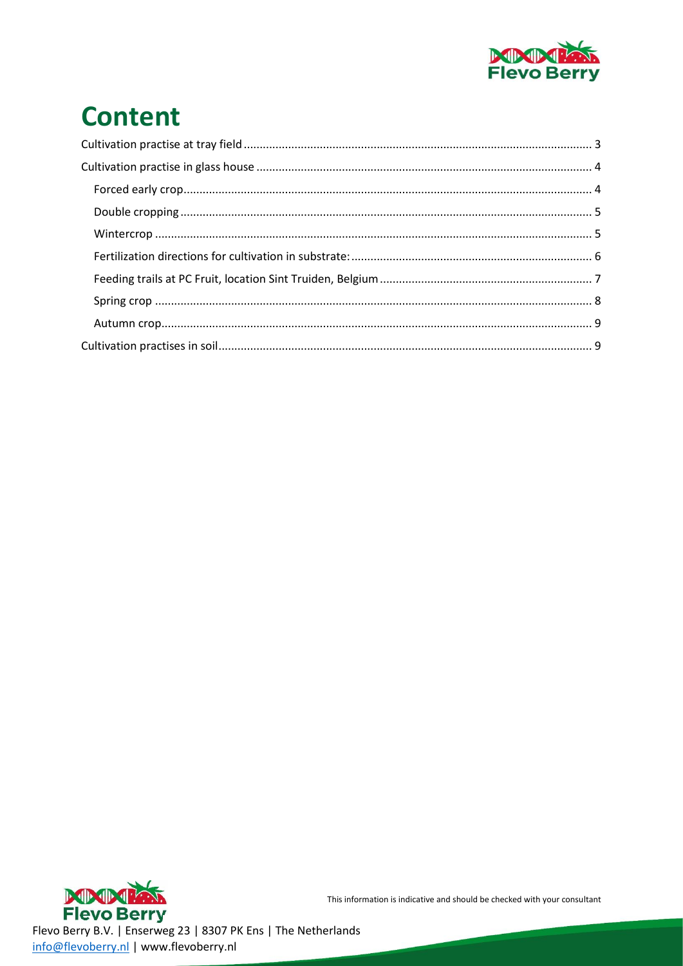

# **Content**

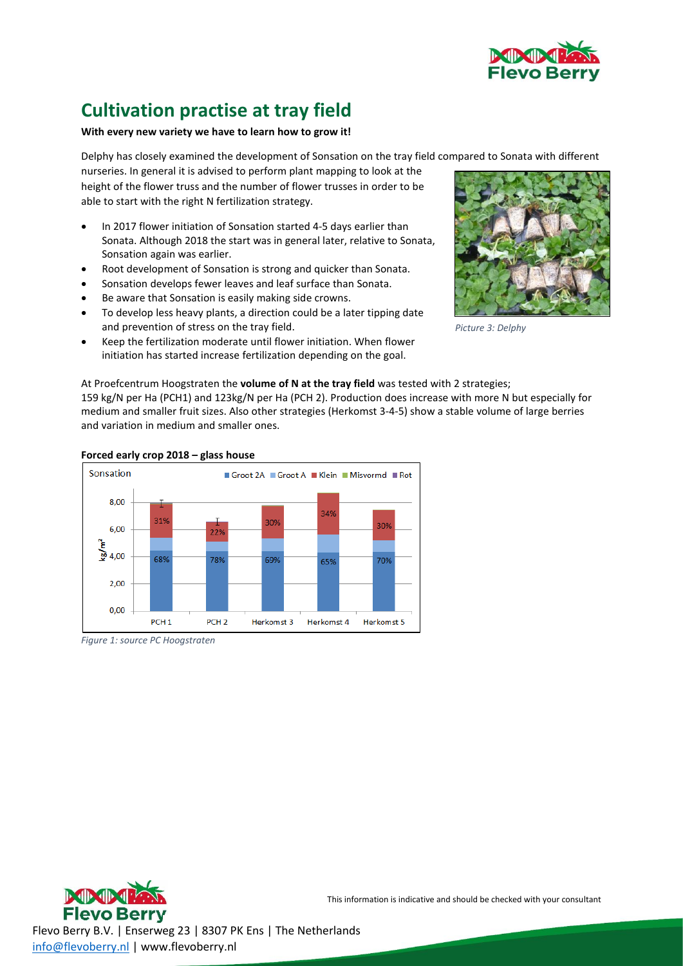

### <span id="page-2-0"></span>**Cultivation practise at tray field**

#### **With every new variety we have to learn how to grow it!**

Delphy has closely examined the development of Sonsation on the tray field compared to Sonata with different

nurseries. In general it is advised to perform plant mapping to look at the height of the flower truss and the number of flower trusses in order to be able to start with the right N fertilization strategy.

- In 2017 flower initiation of Sonsation started 4-5 days earlier than Sonata. Although 2018 the start was in general later, relative to Sonata, Sonsation again was earlier.
- Root development of Sonsation is strong and quicker than Sonata.
- Sonsation develops fewer leaves and leaf surface than Sonata.
- Be aware that Sonsation is easily making side crowns.
- To develop less heavy plants, a direction could be a later tipping date and prevention of stress on the tray field.
- Keep the fertilization moderate until flower initiation. When flower initiation has started increase fertilization depending on the goal.



*Picture 3: Delphy*

At Proefcentrum Hoogstraten the **volume of N at the tray field** was tested with 2 strategies;

159 kg/N per Ha (PCH1) and 123kg/N per Ha (PCH 2). Production does increase with more N but especially for medium and smaller fruit sizes. Also other strategies (Herkomst 3-4-5) show a stable volume of large berries and variation in medium and smaller ones.



**Forced early crop 2018 – glass house**

*Figure 1: source PC Hoogstraten*

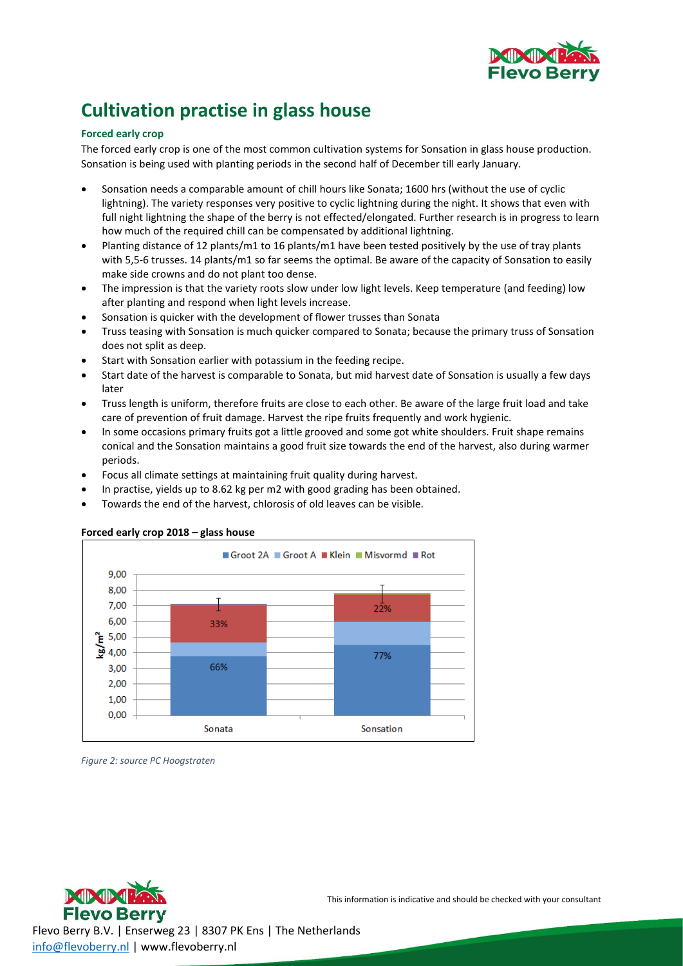

### <span id="page-3-0"></span>**Cultivation practise in glass house**

#### <span id="page-3-1"></span>**Forced early crop**

The forced early crop is one of the most common cultivation systems for Sonsation in glass house production. Sonsation is being used with planting periods in the second half of December till early January.

- Sonsation needs a comparable amount of chill hours like Sonata; 1600 hrs (without the use of cyclic lightning). The variety responses very positive to cyclic lightning during the night. It shows that even with full night lightning the shape of the berry is not effected/elongated. Further research is in progress to learn how much of the required chill can be compensated by additional lightning.
- Planting distance of 12 plants/m1 to 16 plants/m1 have been tested positively by the use of tray plants with 5,5-6 trusses. 14 plants/m1 so far seems the optimal. Be aware of the capacity of Sonsation to easily make side crowns and do not plant too dense.
- The impression is that the variety roots slow under low light levels. Keep temperature (and feeding) low after planting and respond when light levels increase.
- Sonsation is quicker with the development of flower trusses than Sonata
- Truss teasing with Sonsation is much quicker compared to Sonata; because the primary truss of Sonsation does not split as deep.
- Start with Sonsation earlier with potassium in the feeding recipe.
- Start date of the harvest is comparable to Sonata, but mid harvest date of Sonsation is usually a few days later
- Truss length is uniform, therefore fruits are close to each other. Be aware of the large fruit load and take care of prevention of fruit damage. Harvest the ripe fruits frequently and work hygienic.
- In some occasions primary fruits got a little grooved and some got white shoulders. Fruit shape remains conical and the Sonsation maintains a good fruit size towards the end of the harvest, also during warmer periods.
- Focus all climate settings at maintaining fruit quality during harvest.
- In practise, yields up to 8.62 kg per m2 with good grading has been obtained.
- Towards the end of the harvest, chlorosis of old leaves can be visible.



#### **Forced early crop 2018 – glass house**

*Figure 2: source PC Hoogstraten*



This information is indicative and should be checked with your consultant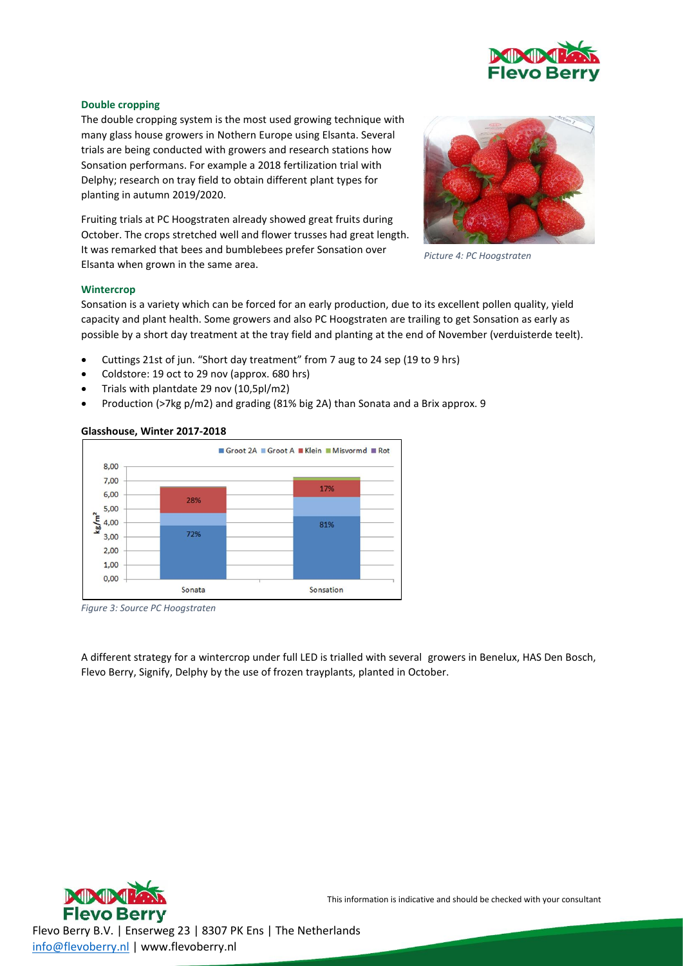

#### <span id="page-4-0"></span>**Double cropping**

The double cropping system is the most used growing technique with many glass house growers in Nothern Europe using Elsanta. Several trials are being conducted with growers and research stations how Sonsation performans. For example a 2018 fertilization trial with Delphy; research on tray field to obtain different plant types for planting in autumn 2019/2020.

Fruiting trials at PC Hoogstraten already showed great fruits during October. The crops stretched well and flower trusses had great length. It was remarked that bees and bumblebees prefer Sonsation over Elsanta when grown in the same area.



*Picture 4: PC Hoogstraten*

#### <span id="page-4-1"></span>**Wintercrop**

Sonsation is a variety which can be forced for an early production, due to its excellent pollen quality, yield capacity and plant health. Some growers and also PC Hoogstraten are trailing to get Sonsation as early as possible by a short day treatment at the tray field and planting at the end of November (verduisterde teelt).

- Cuttings 21st of jun. "Short day treatment" from 7 aug to 24 sep (19 to 9 hrs)
- Coldstore: 19 oct to 29 nov (approx. 680 hrs)
- Trials with plantdate 29 nov (10,5pl/m2)
- Production (>7kg p/m2) and grading (81% big 2A) than Sonata and a Brix approx. 9

#### **Glasshouse, Winter 2017-2018**



*Figure 3: Source PC Hoogstraten*

A different strategy for a wintercrop under full LED is trialled with several growers in Benelux, HAS Den Bosch, Flevo Berry, Signify, Delphy by the use of frozen trayplants, planted in October.

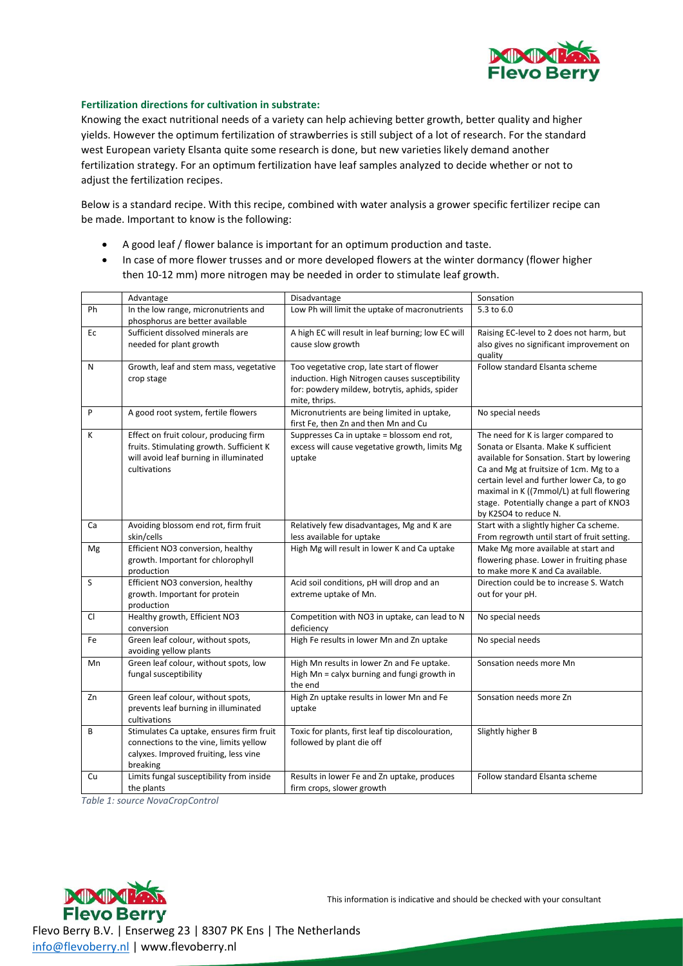

#### <span id="page-5-0"></span>**Fertilization directions for cultivation in substrate:**

Knowing the exact nutritional needs of a variety can help achieving better growth, better quality and higher yields. However the optimum fertilization of strawberries is still subject of a lot of research. For the standard west European variety Elsanta quite some research is done, but new varieties likely demand another fertilization strategy. For an optimum fertilization have leaf samples analyzed to decide whether or not to adjust the fertilization recipes.

Below is a standard recipe. With this recipe, combined with water analysis a grower specific fertilizer recipe can be made. Important to know is the following:

- A good leaf / flower balance is important for an optimum production and taste.
- In case of more flower trusses and or more developed flowers at the winter dormancy (flower higher then 10-12 mm) more nitrogen may be needed in order to stimulate leaf growth.

|           | Advantage                                                                                                                                    | Disadvantage                                                                                                                                                  | Sonsation                                                                                                                                                                                                                                                                                                                           |
|-----------|----------------------------------------------------------------------------------------------------------------------------------------------|---------------------------------------------------------------------------------------------------------------------------------------------------------------|-------------------------------------------------------------------------------------------------------------------------------------------------------------------------------------------------------------------------------------------------------------------------------------------------------------------------------------|
| Ph        | In the low range, micronutrients and<br>phosphorus are better available                                                                      | Low Ph will limit the uptake of macronutrients                                                                                                                | 5.3 to 6.0                                                                                                                                                                                                                                                                                                                          |
| Ec        | Sufficient dissolved minerals are<br>needed for plant growth                                                                                 | A high EC will result in leaf burning; low EC will<br>cause slow growth                                                                                       | Raising EC-level to 2 does not harm, but<br>also gives no significant improvement on<br>quality                                                                                                                                                                                                                                     |
| N         | Growth, leaf and stem mass, vegetative<br>crop stage                                                                                         | Too vegetative crop, late start of flower<br>induction. High Nitrogen causes susceptibility<br>for: powdery mildew, botrytis, aphids, spider<br>mite, thrips. | Follow standard Elsanta scheme                                                                                                                                                                                                                                                                                                      |
| P         | A good root system, fertile flowers                                                                                                          | Micronutrients are being limited in uptake,<br>first Fe, then Zn and then Mn and Cu                                                                           | No special needs                                                                                                                                                                                                                                                                                                                    |
| K         | Effect on fruit colour, producing firm<br>fruits. Stimulating growth. Sufficient K<br>will avoid leaf burning in illuminated<br>cultivations | Suppresses Ca in uptake = blossom end rot,<br>excess will cause vegetative growth, limits Mg<br>uptake                                                        | The need for K is larger compared to<br>Sonata or Elsanta. Make K sufficient<br>available for Sonsation. Start by lowering<br>Ca and Mg at fruitsize of 1cm. Mg to a<br>certain level and further lower Ca, to go<br>maximal in K ((7mmol/L) at full flowering<br>stage. Potentially change a part of KNO3<br>by K2SO4 to reduce N. |
| Ca        | Avoiding blossom end rot, firm fruit<br>skin/cells                                                                                           | Relatively few disadvantages, Mg and K are<br>less available for uptake                                                                                       | Start with a slightly higher Ca scheme.<br>From regrowth until start of fruit setting.                                                                                                                                                                                                                                              |
| Mg        | Efficient NO3 conversion, healthy<br>growth. Important for chlorophyll<br>production                                                         | High Mg will result in lower K and Ca uptake                                                                                                                  | Make Mg more available at start and<br>flowering phase. Lower in fruiting phase<br>to make more K and Ca available.                                                                                                                                                                                                                 |
| S         | Efficient NO3 conversion, healthy<br>growth. Important for protein<br>production                                                             | Acid soil conditions, pH will drop and an<br>extreme uptake of Mn.                                                                                            | Direction could be to increase S. Watch<br>out for your pH.                                                                                                                                                                                                                                                                         |
| <b>CI</b> | Healthy growth, Efficient NO3<br>conversion                                                                                                  | Competition with NO3 in uptake, can lead to N<br>deficiency                                                                                                   | No special needs                                                                                                                                                                                                                                                                                                                    |
| Fe        | Green leaf colour, without spots,<br>avoiding yellow plants                                                                                  | High Fe results in lower Mn and Zn uptake                                                                                                                     | No special needs                                                                                                                                                                                                                                                                                                                    |
| Mn        | Green leaf colour, without spots, low<br>fungal susceptibility                                                                               | High Mn results in lower Zn and Fe uptake.<br>High Mn = calyx burning and fungi growth in<br>the end                                                          | Sonsation needs more Mn                                                                                                                                                                                                                                                                                                             |
| Zn        | Green leaf colour, without spots,<br>prevents leaf burning in illuminated<br>cultivations                                                    | High Zn uptake results in lower Mn and Fe<br>uptake                                                                                                           | Sonsation needs more Zn                                                                                                                                                                                                                                                                                                             |
| B         | Stimulates Ca uptake, ensures firm fruit<br>connections to the vine, limits yellow<br>calyxes. Improved fruiting, less vine<br>breaking      | Toxic for plants, first leaf tip discolouration,<br>followed by plant die off                                                                                 | Slightly higher B                                                                                                                                                                                                                                                                                                                   |
| Cu        | Limits fungal susceptibility from inside<br>the plants                                                                                       | Results in lower Fe and Zn uptake, produces<br>firm crops, slower growth                                                                                      | Follow standard Elsanta scheme                                                                                                                                                                                                                                                                                                      |

*Table 1: source NovaCropControl*

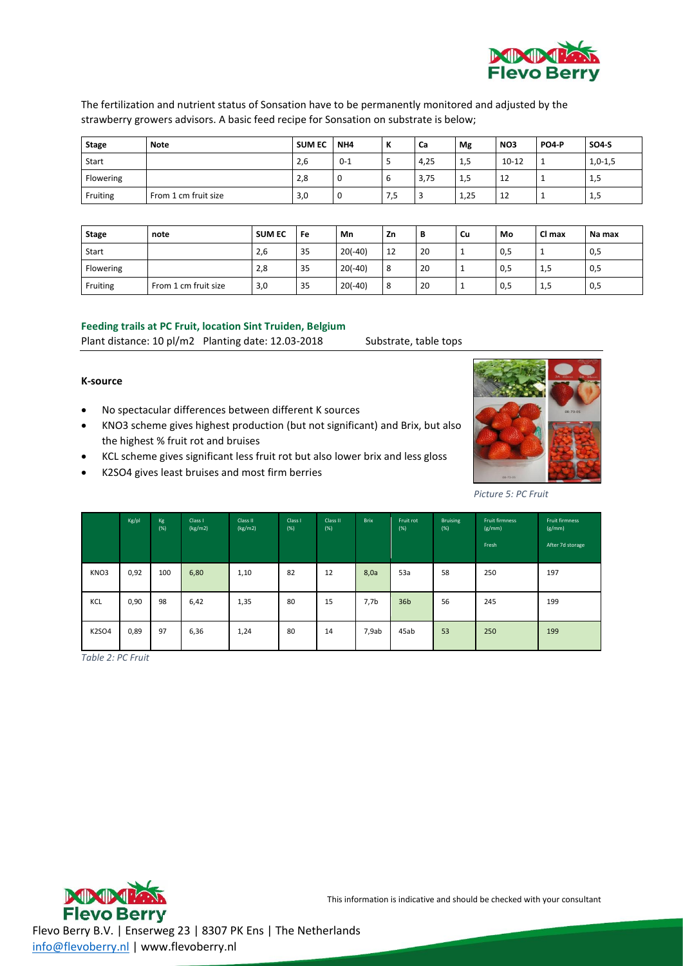

The fertilization and nutrient status of Sonsation have to be permanently monitored and adjusted by the strawberry growers advisors. A basic feed recipe for Sonsation on substrate is below;

| <b>Stage</b> | Note                 | <b>SUM EC</b> | NH <sub>4</sub> | $\overline{\mathbf{z}}$<br>n | Ca   | Mg   | NO <sub>3</sub> | <b>PO4-P</b> | <b>SO4-S</b> |
|--------------|----------------------|---------------|-----------------|------------------------------|------|------|-----------------|--------------|--------------|
| Start        |                      | 2,6           | $0 - 1$         | -                            | 4,25 | 1,5  | $10 - 12$       |              | $1,0-1,5$    |
| Flowering    |                      | 2,8           | -U              | b                            | 3,75 | 1,5  | 12              |              | 1,5          |
| Fruiting     | From 1 cm fruit size | 3,0           | 0               | د, ا                         | ₫    | 1,25 | 12              |              | 1,5          |

| Stage     | note                 | <b>SUM EC</b> | Fe | Mn        | Zn            | В  | Cu       | Mo  | Cl max   | Na max |
|-----------|----------------------|---------------|----|-----------|---------------|----|----------|-----|----------|--------|
| Start     |                      | 2,6           | 35 | $20(-40)$ | 12            | 20 | ۰        | 0,5 | <b>.</b> | 0,5    |
| Flowering |                      | 2,8           | 35 | $20(-40)$ | $\Omega$<br>Ō | 20 | <b>.</b> | 0,5 | 1,5      | 0,5    |
| Fruiting  | From 1 cm fruit size | 3,0           | 35 | $20(-40)$ |               | 20 | <b>.</b> | 0,5 | 1,5      | 0,5    |

#### <span id="page-6-0"></span>**Feeding trails at PC Fruit, location Sint Truiden, Belgium**

Plant distance: 10 pl/m2 Planting date: 12.03-2018 Substrate, table tops

#### **K-source**

- No spectacular differences between different K sources
- KNO3 scheme gives highest production (but not significant) and Brix, but also the highest % fruit rot and bruises
- KCL scheme gives significant less fruit rot but also lower brix and less gloss
- K2SO4 gives least bruises and most firm berries



*Picture 5: PC Fruit*

|       | Kg/pl | Kg<br>(%) | Class I<br>(kg/m2) | Class II<br>(kg/m2) | Class I<br>(%) | Class II<br>(%) | <b>Brix</b> | Fruit rot<br>(%) | <b>Bruising</b><br>(%) | <b>Fruit firmness</b><br>(g/mm)<br>Fresh | <b>Fruit firmness</b><br>(g/mm)<br>After 7d storage |
|-------|-------|-----------|--------------------|---------------------|----------------|-----------------|-------------|------------------|------------------------|------------------------------------------|-----------------------------------------------------|
| KNO3  | 0,92  | 100       | 6,80               | 1,10                | 82             | 12              | 8,0a        | 53a              | 58                     | 250                                      | 197                                                 |
| KCL   | 0,90  | 98        | 6,42               | 1,35                | 80             | 15              | 7,7b        | 36 <sub>b</sub>  | 56                     | 245                                      | 199                                                 |
| K2SO4 | 0,89  | 97        | 6,36               | 1,24                | 80             | 14              | 7,9ab       | 45ab             | 53                     | 250                                      | 199                                                 |

*Table 2: PC Fruit*



This information is indicative and should be checked with your consultant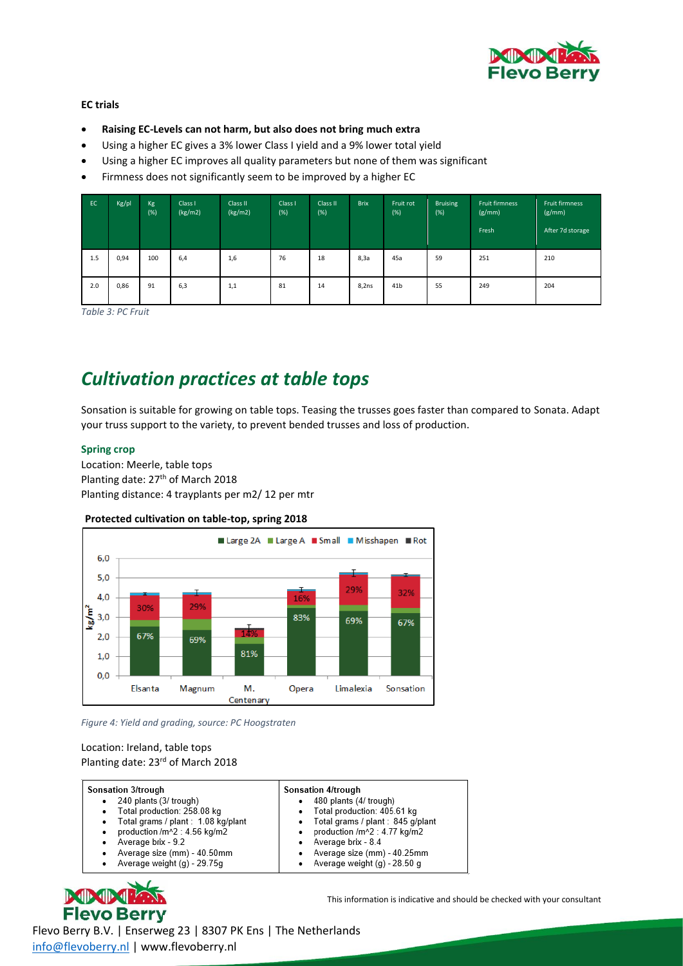

#### **EC trials**

- **Raising EC-Levels can not harm, but also does not bring much extra**
- Using a higher EC gives a 3% lower Class I yield and a 9% lower total yield
- Using a higher EC improves all quality parameters but none of them was significant
- Firmness does not significantly seem to be improved by a higher EC

| EC  | Kg/pl | Kg<br>(%) | Class I<br>(kg/m2) | Class II<br>(kg/m2) | Class I<br>$(\%)$ | Class II<br>(%) | <b>Brix</b> | Fruit rot<br>(%) | Bruising<br>(%) | Fruit firmness<br>(g/mm)<br>Fresh | Fruit firmness<br>(g/mm)<br>After 7d storage |
|-----|-------|-----------|--------------------|---------------------|-------------------|-----------------|-------------|------------------|-----------------|-----------------------------------|----------------------------------------------|
| 1.5 | 0,94  | 100       | 6,4                | 1,6                 | 76                | 18              | 8,3а        | 45a              | 59              | 251                               | 210                                          |
| 2.0 | 0,86  | 91        | 6,3                | 1,1                 | 81                | 14              | 8,2ns       | 41 <sub>b</sub>  | 55              | 249                               | 204                                          |

*Table 3: PC Fruit*

### *Cultivation practices at table tops*

Sonsation is suitable for growing on table tops. Teasing the trusses goes faster than compared to Sonata. Adapt your truss support to the variety, to prevent bended trusses and loss of production.

#### <span id="page-7-0"></span>**Spring crop**

Location: Meerle, table tops Planting date: 27<sup>th</sup> of March 2018 Planting distance: 4 trayplants per m2/ 12 per mtr

#### **Protected cultivation on table-top, spring 2018**



*Figure 4: Yield and grading, source: PC Hoogstraten*

#### Location: Ireland, table tops Planting date: 23<sup>rd</sup> of March 2018

| Sonsation 3/trough                       | <b>Sonsation 4/trough</b>         |
|------------------------------------------|-----------------------------------|
| 240 plants (3/ trough)                   | 480 plants (4/ trough)            |
| Total production: 258.08 kg              | • Total production: 405.61 kg     |
| Total grams / plant : 1.08 kg/plant<br>٠ | Total grams / plant : 845 g/plant |
| production /m^2 : 4.56 kg/m2             | production /m^2 : 4.77 kg/m2      |
| Average brix - 9.2                       | Average brix - 8.4                |
| Average size (mm) - 40.50mm              | Average size (mm) - 40.25mm       |
| Average weight (g) - 29.75g              | Average weight (g) - 28.50 g      |



This information is indicative and should be checked with your consultant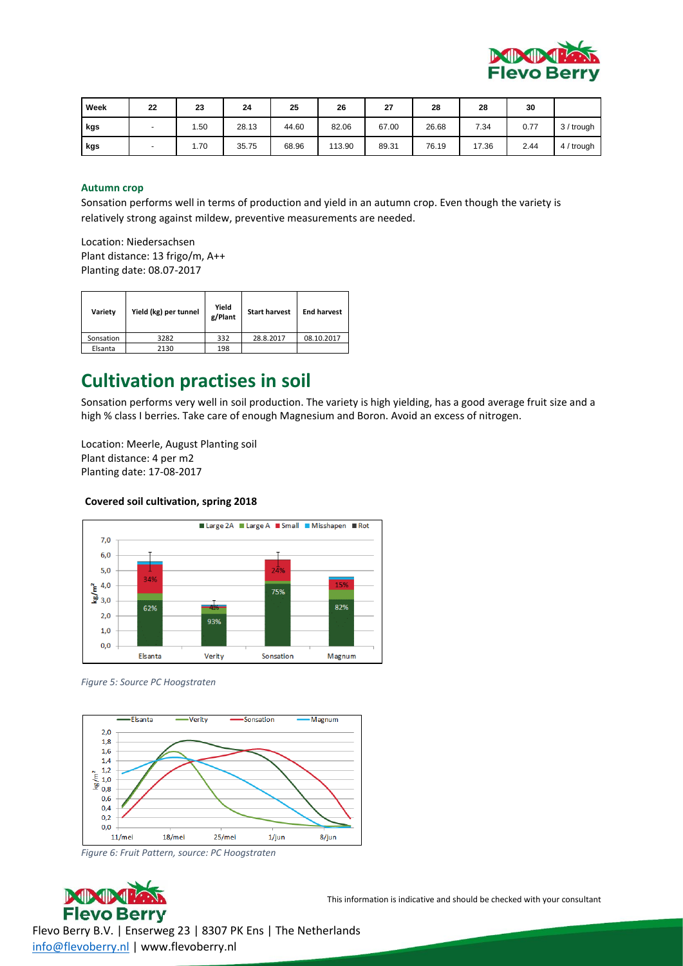

| Week | 22                       | 23         | 24    | 25    | 26     | 27    | 28    | 28    | 30   |            |
|------|--------------------------|------------|-------|-------|--------|-------|-------|-------|------|------------|
| kgs  | $\overline{\phantom{a}}$ | <b>.50</b> | 28.13 | 44.60 | 82.06  | 67.00 | 26.68 | 7.34  | 0.77 | 3 / trough |
| kgs  | $\overline{\phantom{0}}$ | 1.70       | 35.75 | 68.96 | 113.90 | 89.31 | 76.19 | 17.36 | 2.44 | 4 / trough |

#### <span id="page-8-0"></span>**Autumn crop**

Sonsation performs well in terms of production and yield in an autumn crop. Even though the variety is relatively strong against mildew, preventive measurements are needed.

Location: Niedersachsen Plant distance: 13 frigo/m, A++ Planting date: 08.07-2017

| Variety   | Yield (kg) per tunnel | Yield<br>g/Plant | <b>Start harvest</b> | <b>End harvest</b> |
|-----------|-----------------------|------------------|----------------------|--------------------|
| Sonsation | 3282                  | 332              | 28.8.2017            | 08.10.2017         |
| Elsanta   | 2130                  | 198              |                      |                    |

### <span id="page-8-1"></span>**Cultivation practises in soil**

Sonsation performs very well in soil production. The variety is high yielding, has a good average fruit size and a high % class I berries. Take care of enough Magnesium and Boron. Avoid an excess of nitrogen.

Location: Meerle, August Planting soil Plant distance: 4 per m2 Planting date: 17-08-2017

#### **Covered soil cultivation, spring 2018**



*Figure 5: Source PC Hoogstraten*



*Figure 6: Fruit Pattern, source: PC Hoogstraten*



This information is indicative and should be checked with your consultant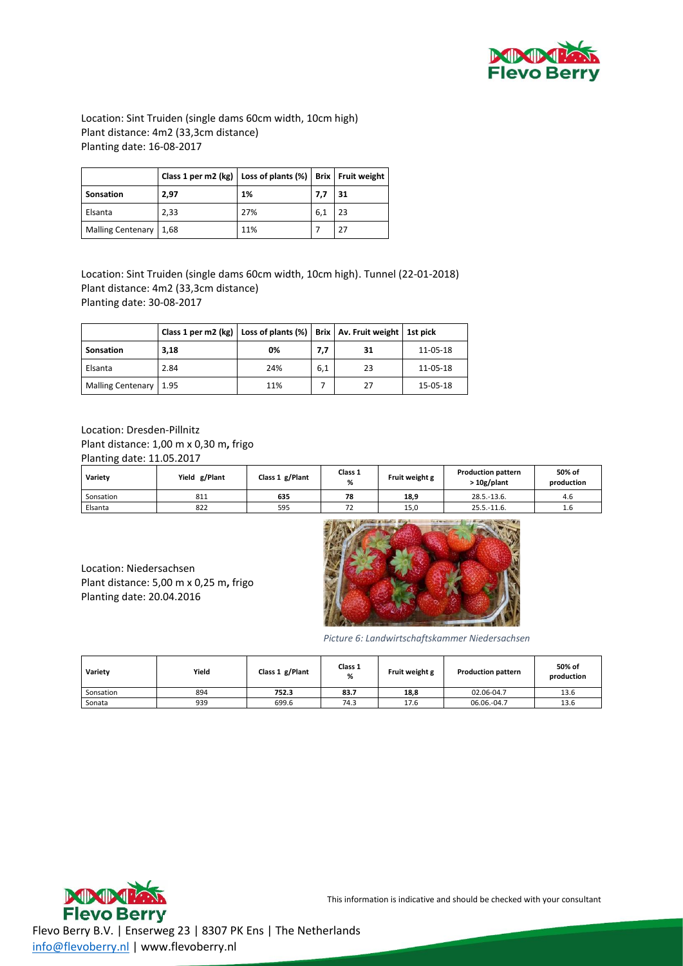

Location: Sint Truiden (single dams 60cm width, 10cm high) Plant distance: 4m2 (33,3cm distance) Planting date: 16-08-2017

|                          | Class 1 per m2 (kg)   Loss of plants (%)   Brix   Fruit weight |     |     |    |
|--------------------------|----------------------------------------------------------------|-----|-----|----|
| <b>Sonsation</b>         | 2.97                                                           | 1%  | 7.7 | 31 |
| Elsanta                  | 2,33                                                           | 27% | 6,1 | 23 |
| Malling Centenary   1,68 |                                                                | 11% |     | 27 |

Location: Sint Truiden (single dams 60cm width, 10cm high). Tunnel (22-01-2018) Plant distance: 4m2 (33,3cm distance) Planting date: 30-08-2017

|                        | Class 1 per m2 (kg)   Loss of plants (%)   Brix   Av. Fruit weight   1st pick |     |     |    |          |
|------------------------|-------------------------------------------------------------------------------|-----|-----|----|----------|
| <b>Sonsation</b>       | 3,18                                                                          | 0%  | 7,7 | 31 | 11-05-18 |
| Elsanta                | 2.84                                                                          | 24% | 6,1 | 23 | 11-05-18 |
| Malling Centenary 1.95 |                                                                               | 11% |     | 27 | 15-05-18 |

Location: Dresden-Pillnitz Plant distance: 1,00 m x 0,30 m**,** frigo Planting date: 11.05.2017

| Variety   | Yield g/Plant | Class 1 g/Plant | Class 1<br>% | Fruit weight g | <b>Production pattern</b><br>> 10g/plant | 50% of<br>production |
|-----------|---------------|-----------------|--------------|----------------|------------------------------------------|----------------------|
| Sonsation | 811           | 635             | 78           | 18,9           | $28.5 - 13.6$ .                          | 4.6                  |
| Elsanta   | 822           | 595             | --<br>72     | 15,0           | $25.5 - 11.6$ .                          | 1.6                  |

Location: Niedersachsen Plant distance: 5,00 m x 0,25 m**,** frigo Planting date: 20.04.2016



*Picture 6: Landwirtschaftskammer Niedersachsen*

| Variety   | Yield | Class 1 g/Plant | Class 1<br>% | Fruit weight g | <b>Production pattern</b> | 50% of<br>production |  |
|-----------|-------|-----------------|--------------|----------------|---------------------------|----------------------|--|
| Sonsation | 894   | 83.7<br>752.3   |              | 18,8           | 02.06-04.7                | 13.6                 |  |
| Sonata    | 939   | 699.6           | 74.3         | 17.6           | 06.06.-04.7               | 13.6                 |  |



This information is indicative and should be checked with your consultant